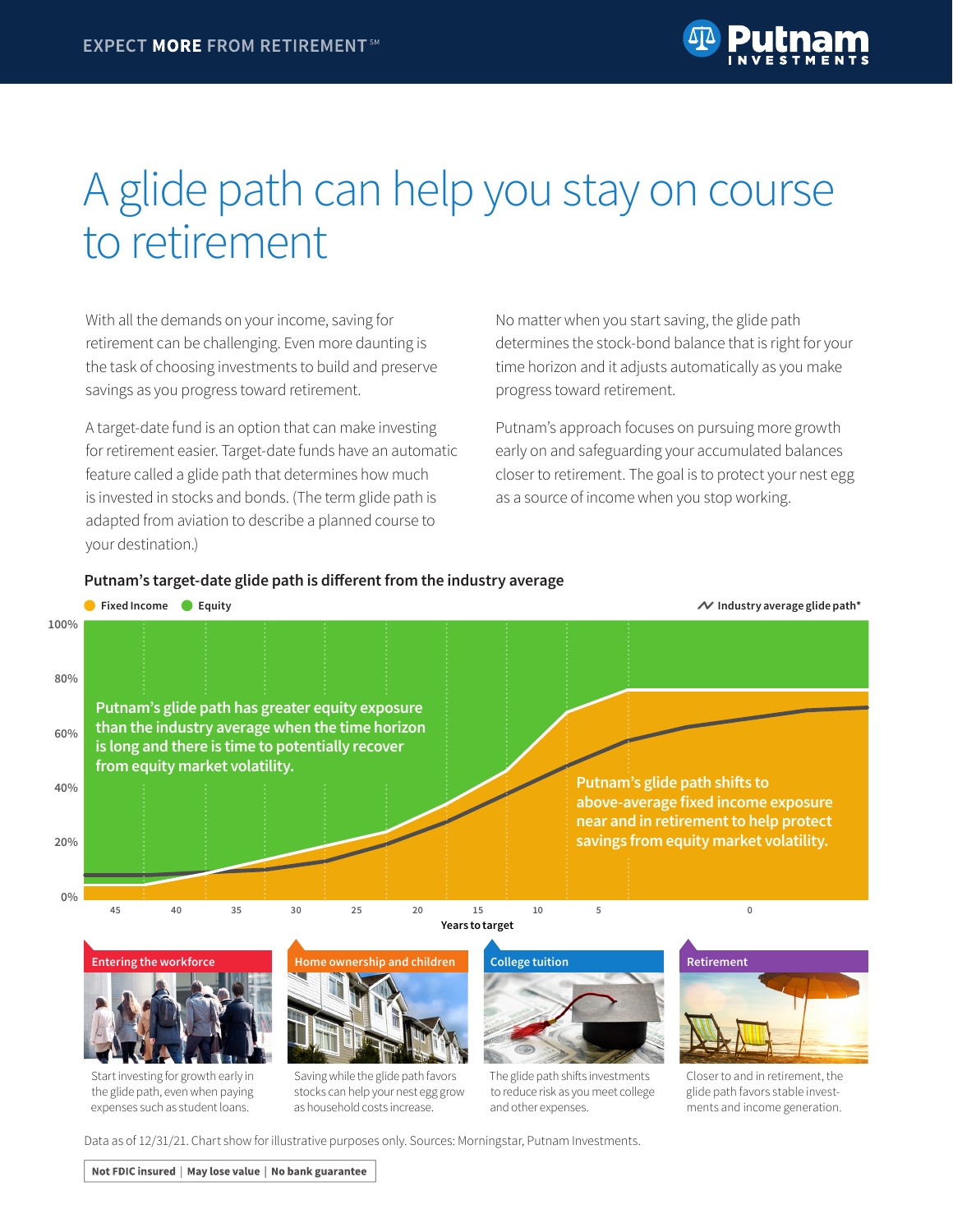# A glide path can help you stay on course to retirement

With all the demands on your income, saving for retirement can be challenging. Even more daunting is the task of choosing investments to build and preserve savings as you progress toward retirement.

A target-date fund is an option that can make investing for retirement easier. Target-date funds have an automatic feature called a glide path that determines how much is invested in stocks and bonds. (The term glide path is adapted from aviation to describe a planned course to your destination.)

No matter when you start saving, the glide path determines the stock-bond balance that is right for your time horizon and it adjusts automatically as you make progress toward retirement.

Putnam's approach focuses on pursuing more growth early on and safeguarding your accumulated balances closer to retirement. The goal is to protect your nest egg as a source of income when you stop working.

## **Putnam's target-date glide path is different from the industry average**



the glide path, even when paying expenses such as student loans.



to reduce risk as you meet college and other expenses.

glide path favors stable investments and income generation.

Data as of 12/31/21. Chart show for illustrative purposes only. Sources: Morningstar, Putnam Investments.

Not FDIC insured | May lose value | No bank guarantee